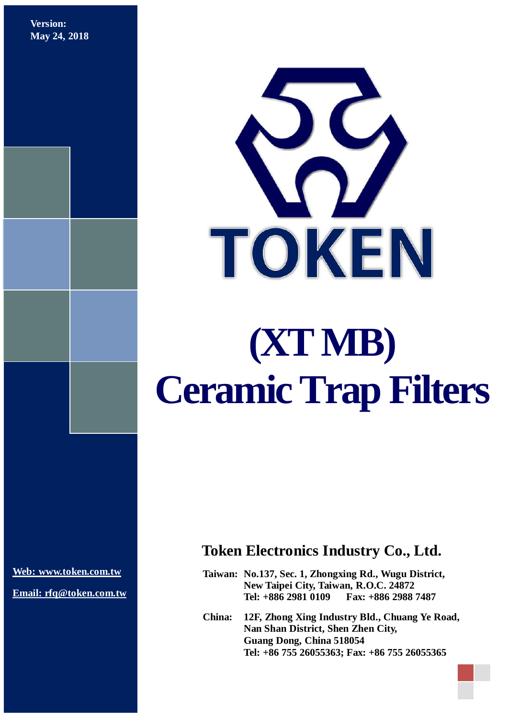**Version: May 24, 2018**



**[Web: www.token.com.tw](http://www.token.com.tw/)**

**Email: rfq@token.com.tw**

### **Token Electronics Industry Co., Ltd.**

**Taiwan: No.137, Sec. 1, Zhongxing Rd., Wugu District, New Taipei City, Taiwan, R.O.C. 24872 Tel: +886 2981 0109 Fax: +886 2988 7487**

**China: 12F, Zhong Xing Industry Bld., Chuang Ye Road, Nan Shan District, Shen Zhen City, Guang Dong, China 518054 Tel: +86 755 26055363; Fax: +86 755 26055365**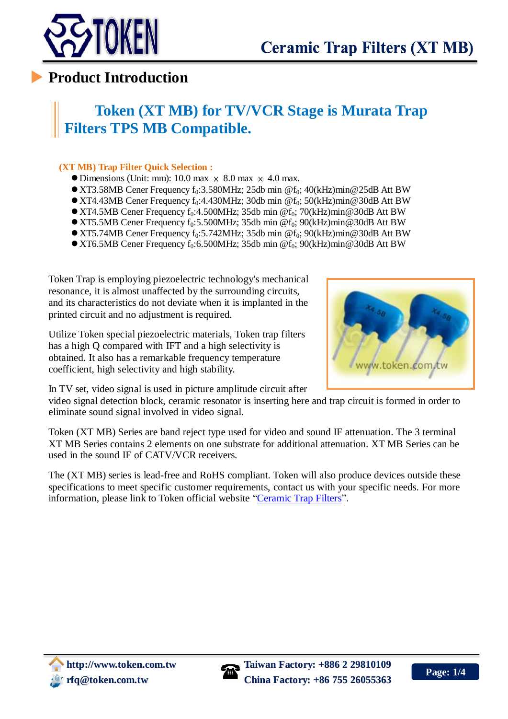

### **Product Introduction**

## **Token (XT MB) for TV/VCR Stage is Murata Trap Filters TPS MB Compatible.**

#### **(XT MB) Trap Filter Quick Selection :**

- $\bullet$  Dimensions (Unit: mm): 10.0 max  $\times$  8.0 max  $\times$  4.0 max.
- $\bullet$  XT3.58MB Cener Frequency f<sub>0</sub>:3.580MHz; 25db min @f<sub>0</sub>; 40(kHz)min@25dB Att BW
- $\bullet$  XT4.43MB Cener Frequency f<sub>0</sub>:4.430MHz; 30db min @f<sub>0</sub>; 50(kHz)min@30dB Att BW
- $\bullet$  XT4.5MB Cener Frequency f<sub>0</sub>:4.500MHz; 35db min @f<sub>0</sub>; 70(kHz)min@30dB Att BW
- $\bullet$  XT5.5MB Cener Frequency f<sub>0</sub>:5.500MHz; 35db min @f<sub>0</sub>; 90(kHz)min@30dB Att BW
- $\bullet$  XT5.74MB Cener Frequency f<sub>0</sub>:5.742MHz; 35db min @f<sub>0</sub>; 90(kHz)min@30dB Att BW
- $\bullet$  XT6.5MB Cener Frequency f<sub>0</sub>:6.500MHz; 35db min @f<sub>0</sub>; 90(kHz)min@30dB Att BW

Token Trap is employing piezoelectric technology's mechanical resonance, it is almost unaffected by the surrounding circuits, and its characteristics do not deviate when it is implanted in the printed circuit and no adjustment is required.

Utilize Token special piezoelectric materials, Token trap filters has a high Q compared with IFT and a high selectivity is obtained. It also has a remarkable frequency temperature coefficient, high selectivity and high stability.



In TV set, video signal is used in picture amplitude circuit after

video signal detection block, ceramic resonator is inserting here and trap circuit is formed in order to eliminate sound signal involved in video signal.

Token (XT MB) Series are band reject type used for video and sound IF attenuation. The 3 terminal XT MB Series contains 2 elements on one substrate for additional attenuation. XT MB Series can be used in the sound IF of CATV/VCR receivers.

The (XT MB) series is lead-free and RoHS compliant. Token will also produce devices outside these specifications to meet specific customer requirements, contact us with your specific needs. For more information, please link to Token official website ["Ceramic Trap Filters"](http://www.token.com.tw/ceramic-trap/index.html).

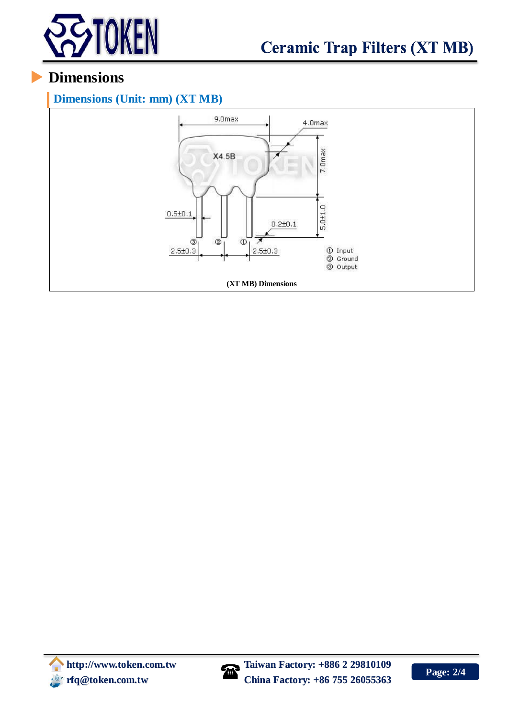

## **Dimensions**

#### **Dimensions (Unit: mm) (XT MB)**



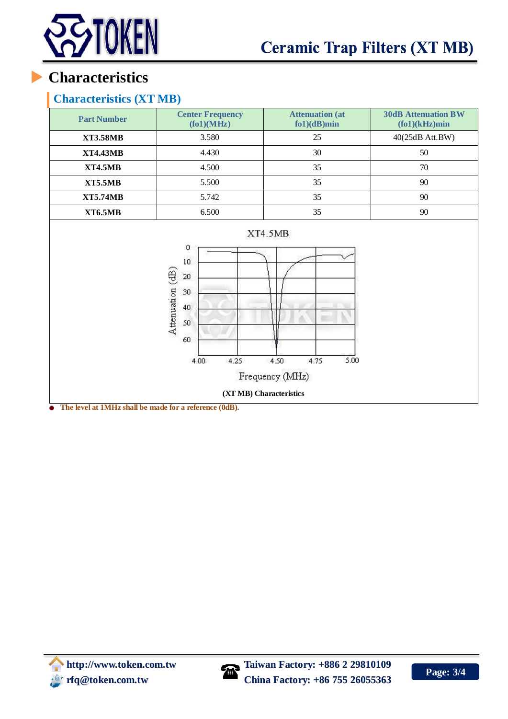

## **Characteristics**

### **Characteristics (XT MB)**

| <b>Part Number</b>                                                                                                                                                                                                                                | <b>Center Frequency</b><br>(fo1)(MHz) | <b>Attenuation (at</b><br>$f(0)(dB)$ min | <b>30dB Attenuation BW</b><br>$(fo1)(kHz)$ min |
|---------------------------------------------------------------------------------------------------------------------------------------------------------------------------------------------------------------------------------------------------|---------------------------------------|------------------------------------------|------------------------------------------------|
| <b>XT3.58MB</b>                                                                                                                                                                                                                                   | 3.580                                 | 25                                       | 40(25dB Att.BW)                                |
| <b>XT4.43MB</b>                                                                                                                                                                                                                                   | 4.430                                 | 30                                       | 50                                             |
| <b>XT4.5MB</b>                                                                                                                                                                                                                                    | 4.500                                 | 35                                       | 70                                             |
| <b>XT5.5MB</b>                                                                                                                                                                                                                                    | 5.500                                 | 35                                       | 90                                             |
| <b>XT5.74MB</b>                                                                                                                                                                                                                                   | 5.742                                 | 35                                       | 90                                             |
| <b>XT6.5MB</b>                                                                                                                                                                                                                                    | 6.500                                 | 35                                       | 90                                             |
| XT4.5MB<br>0<br>10 <sup>°</sup><br>Attenuation (dB)<br>$20\,$<br>30 <sub>2</sub><br>40<br>50<br>60<br>5.00<br>4.25<br>4.75<br>4.50<br>4.00<br>Frequency (MHz)<br>(XT MB) Characteristics<br>The level of 1MHz shell be mode for a reference (0dD) |                                       |                                          |                                                |

**The level at 1MHz shall be made for a reference (0dB).**